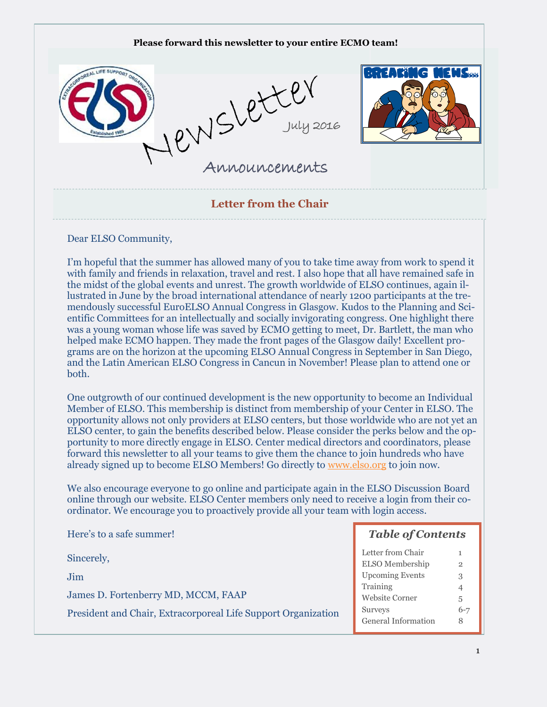

Dear ELSO Community,

I'm hopeful that the summer has allowed many of you to take time away from work to spend it with family and friends in relaxation, travel and rest. I also hope that all have remained safe in the midst of the global events and unrest. The growth worldwide of ELSO continues, again illustrated in June by the broad international attendance of nearly 1200 participants at the tremendously successful EuroELSO Annual Congress in Glasgow. Kudos to the Planning and Scientific Committees for an intellectually and socially invigorating congress. One highlight there was a young woman whose life was saved by ECMO getting to meet, Dr. Bartlett, the man who helped make ECMO happen. They made the front pages of the Glasgow daily! Excellent programs are on the horizon at the upcoming ELSO Annual Congress in September in San Diego, and the Latin American ELSO Congress in Cancun in November! Please plan to attend one or both.

One outgrowth of our continued development is the new opportunity to become an Individual Member of ELSO. This membership is distinct from membership of your Center in ELSO. The opportunity allows not only providers at ELSO centers, but those worldwide who are not yet an ELSO center, to gain the benefits described below. Please consider the perks below and the opportunity to more directly engage in ELSO. Center medical directors and coordinators, please forward this newsletter to all your teams to give them the chance to join hundreds who have already signed up to become ELSO Members! Go directly to [www.elso.org](http://www.elso.org) to join now.

We also encourage everyone to go online and participate again in the ELSO Discussion Board online through our website. ELSO Center members only need to receive a login from their coordinator. We encourage you to proactively provide all your team with login access.

| Here's to a safe summer!                                      | <b>Table of Contents</b> |         |
|---------------------------------------------------------------|--------------------------|---------|
| Sincerely,                                                    | Letter from Chair        |         |
|                                                               | ELSO Membership          | 2       |
| Jim                                                           | <b>Upcoming Events</b>   | 3       |
| James D. Fortenberry MD, MCCM, FAAP                           | Training                 |         |
|                                                               | <b>Website Corner</b>    | 5       |
| President and Chair, Extracorporeal Life Support Organization | Surveys                  | $6 - 7$ |
|                                                               | General Information      | 8       |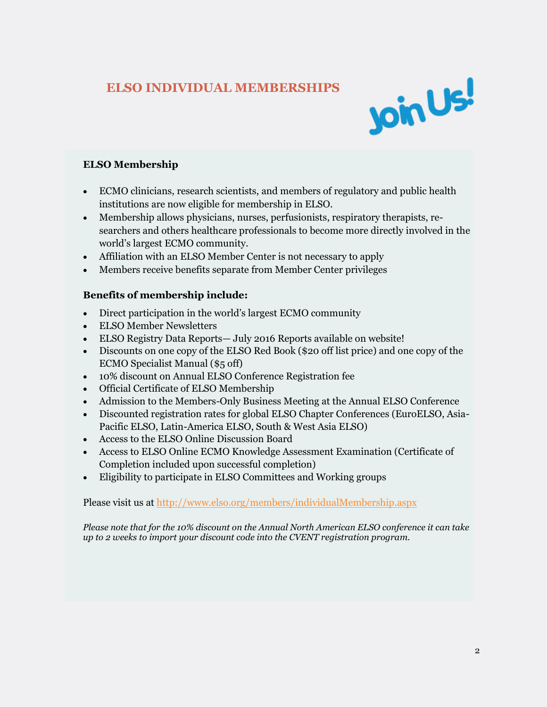# **ELSO INDIVIDUAL MEMBERSHIPS**



### **ELSO Membership**

- ECMO clinicians, research scientists, and members of regulatory and public health institutions are now eligible for membership in ELSO.
- Membership allows physicians, nurses, perfusionists, respiratory therapists, researchers and others healthcare professionals to become more directly involved in the world's largest ECMO community.
- Affiliation with an ELSO Member Center is not necessary to apply
- Members receive benefits separate from Member Center privileges

#### **Benefits of membership include:**

- Direct participation in the world's largest ECMO community
- ELSO Member Newsletters
- ELSO Registry Data Reports— July 2016 Reports available on website!
- Discounts on one copy of the ELSO Red Book (\$20 off list price) and one copy of the ECMO Specialist Manual (\$5 off)
- 10% discount on Annual ELSO Conference Registration fee
- Official Certificate of ELSO Membership
- Admission to the Members-Only Business Meeting at the Annual ELSO Conference
- Discounted registration rates for global ELSO Chapter Conferences (EuroELSO, Asia-Pacific ELSO, Latin-America ELSO, South & West Asia ELSO)
- Access to the ELSO Online Discussion Board
- Access to ELSO Online ECMO Knowledge Assessment Examination (Certificate of Completion included upon successful completion)
- Eligibility to participate in ELSO Committees and Working groups

Please visit us at<http://www.elso.org/members/individualMembership.aspx>

*Please note that for the 10% discount on the Annual North American ELSO conference it can take up to 2 weeks to import your discount code into the CVENT registration program.*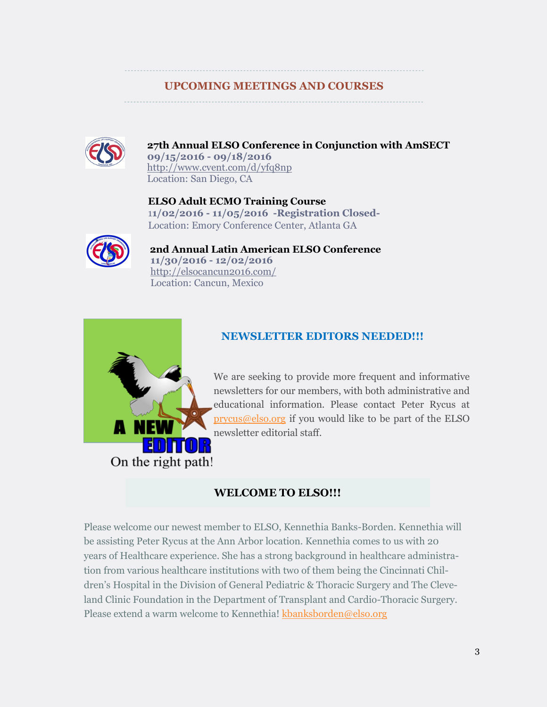# **UPCOMING MEETINGS AND COURSES**



**27th Annual ELSO Conference in Conjunction with AmSECT 09/15/2016 - 09/18/2016**  <http://www.cvent.com/d/yfq8np> Location: San Diego, CA

 **ELSO Adult ECMO Training Course** 1**1/02/2016 - 11/05/2016 -Registration Closed-** Location: Emory Conference Center, Atlanta GA



 **2nd Annual Latin American ELSO Conference 11/30/2016 - 12/02/2016**  <http://elsocancun2016.com/> Location: Cancun, Mexico



# **NEWSLETTER EDITORS NEEDED!!!**

We are seeking to provide more frequent and informative newsletters for our members, with both administrative and educational information. Please contact Peter Rycus at [prycus@elso.org](mailto:prycus@elso.org) if you would like to be part of the ELSO newsletter editorial staff.

# **WELCOME TO ELSO!!!**

Please welcome our newest member to ELSO, Kennethia Banks-Borden. Kennethia will be assisting Peter Rycus at the Ann Arbor location. Kennethia comes to us with 20 years of Healthcare experience. She has a strong background in healthcare administration from various healthcare institutions with two of them being the Cincinnati Children's Hospital in the Division of General Pediatric & Thoracic Surgery and The Cleveland Clinic Foundation in the Department of Transplant and Cardio-Thoracic Surgery. Please extend a warm welcome to Kennethia! [kbanksborden@elso.org](mailto:kbanksborden@elso.org)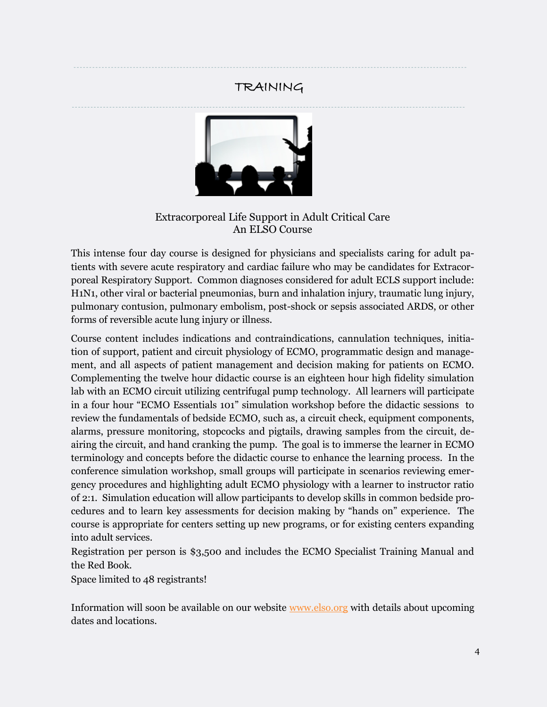# TRAINING



Extracorporeal Life Support in Adult Critical Care An ELSO Course

This intense four day course is designed for physicians and specialists caring for adult patients with severe acute respiratory and cardiac failure who may be candidates for Extracorporeal Respiratory Support. Common diagnoses considered for adult ECLS support include: H1N1, other viral or bacterial pneumonias, burn and inhalation injury, traumatic lung injury, pulmonary contusion, pulmonary embolism, post-shock or sepsis associated ARDS, or other forms of reversible acute lung injury or illness.

Course content includes indications and contraindications, cannulation techniques, initiation of support, patient and circuit physiology of ECMO, programmatic design and management, and all aspects of patient management and decision making for patients on ECMO. Complementing the twelve hour didactic course is an eighteen hour high fidelity simulation lab with an ECMO circuit utilizing centrifugal pump technology. All learners will participate in a four hour "ECMO Essentials 101" simulation workshop before the didactic sessions to review the fundamentals of bedside ECMO, such as, a circuit check, equipment components, alarms, pressure monitoring, stopcocks and pigtails, drawing samples from the circuit, deairing the circuit, and hand cranking the pump. The goal is to immerse the learner in ECMO terminology and concepts before the didactic course to enhance the learning process. In the conference simulation workshop, small groups will participate in scenarios reviewing emergency procedures and highlighting adult ECMO physiology with a learner to instructor ratio of 2:1. Simulation education will allow participants to develop skills in common bedside procedures and to learn key assessments for decision making by "hands on" experience. The course is appropriate for centers setting up new programs, or for existing centers expanding into adult services.

Registration per person is \$3,500 and includes the ECMO Specialist Training Manual and the Red Book.

Space limited to 48 registrants!

Information will soon be available on our website [www.elso.org](http://www.elso.org) with details about upcoming dates and locations.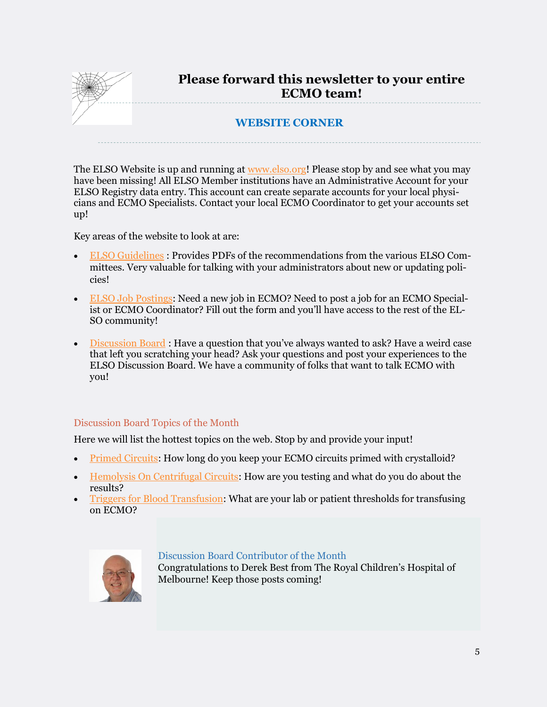

The ELSO Website is up and running at [www.elso.org!](http://www.elso.org) Please stop by and see what you may have been missing! All ELSO Member institutions have an Administrative Account for your ELSO Registry data entry. This account can create separate accounts for your local physicians and ECMO Specialists. Contact your local ECMO Coordinator to get your accounts set up!

Key areas of the website to look at are:

- [ELSO Guidelines](https://www.elso.org/Resources/Guidelines.aspx) : Provides PDFs of the recommendations from the various ELSO Committees. Very valuable for talking with your administrators about new or updating policies!
- [ELSO Job Postings:](https://www.elso.org/Resources/JobListings.aspx) Need a new job in ECMO? Need to post a job for an ECMO Specialist or ECMO Coordinator? Fill out the form and you'll have access to the rest of the EL-SO community!
- [Discussion Board](https://www.elso.org/Resources/DiscussionBoard.aspx) : Have a question that you've always wanted to ask? Have a weird case that left you scratching your head? Ask your questions and post your experiences to the ELSO Discussion Board. We have a community of folks that want to talk ECMO with you!

#### Discussion Board Topics of the Month

Here we will list the hottest topics on the web. Stop by and provide your input!

- [Primed Circuits:](https://www.elso.org/Resources/DiscussionBoard/tabid/111/forumid/17/threadid/727/scope/posts/Default.aspx) How long do you keep your ECMO circuits primed with crystalloid?
- [Hemolysis On Centrifugal Circuits:](https://www.elso.org/Resources/DiscussionBoard/tabid/111/forumid/17/threadid/489/scope/posts/Default.aspx) How are you testing and what do you do about the results?
- [Triggers for Blood Transfusion:](https://www.elso.org/Resources/DiscussionBoard/tabid/111/forumid/1/threadid/736/scope/posts/Default.aspx) What are your lab or patient thresholds for transfusing on ECMO?



#### Discussion Board Contributor of the Month

Congratulations to Derek Best from The Royal Children's Hospital of Melbourne! Keep those posts coming!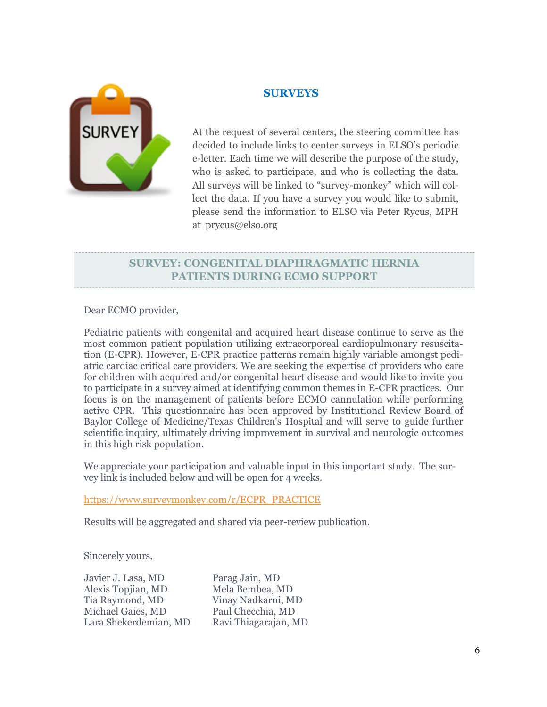

#### **SURVEYS**

At the request of several centers, the steering committee has decided to include links to center surveys in ELSO's periodic e-letter. Each time we will describe the purpose of the study, who is asked to participate, and who is collecting the data. All surveys will be linked to "survey-monkey" which will collect the data. If you have a survey you would like to submit, please send the information to ELSO via Peter Rycus, MPH at prycus@elso.org

# **SURVEY: CONGENITAL DIAPHRAGMATIC HERNIA PATIENTS DURING ECMO SUPPORT**

Dear ECMO provider,

Pediatric patients with congenital and acquired heart disease continue to serve as the most common patient population utilizing extracorporeal cardiopulmonary resuscitation (E-CPR). However, E-CPR practice patterns remain highly variable amongst pediatric cardiac critical care providers. We are seeking the expertise of providers who care for children with acquired and/or congenital heart disease and would like to invite you to participate in a survey aimed at identifying common themes in E-CPR practices. Our focus is on the management of patients before ECMO cannulation while performing active CPR. This questionnaire has been approved by Institutional Review Board of Baylor College of Medicine/Texas Children's Hospital and will serve to guide further scientific inquiry, ultimately driving improvement in survival and neurologic outcomes in this high risk population.

We appreciate your participation and valuable input in this important study. The survey link is included below and will be open for 4 weeks.

[https://www.surveymonkey.com/r/ECPR\\_PRACTICE](https://www.surveymonkey.com/r/ECPR_PRACTICE)

Results will be aggregated and shared via peer-review publication.

Sincerely yours,

| Parag Jain, MD       |
|----------------------|
| Mela Bembea, MD      |
| Vinay Nadkarni, MD   |
| Paul Checchia, MD    |
| Ravi Thiagarajan, MD |
|                      |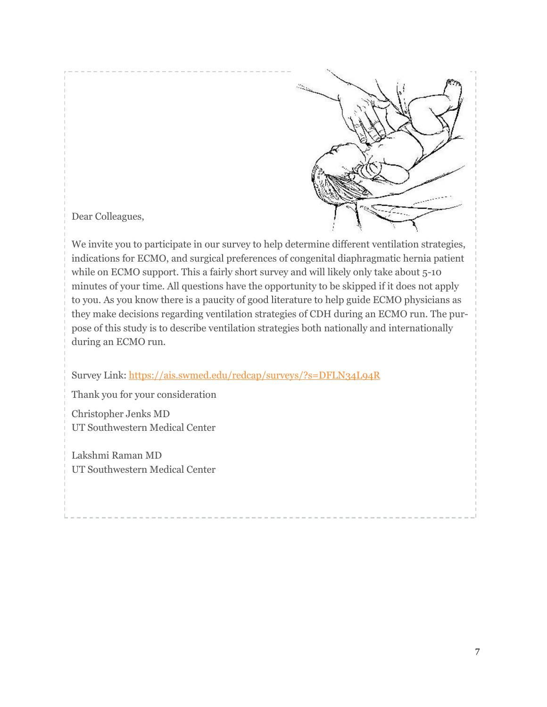

Dear Colleagues,

We invite you to participate in our survey to help determine different ventilation strategies, indications for ECMO, and surgical preferences of congenital diaphragmatic hernia patient while on ECMO support. This a fairly short survey and will likely only take about 5-10 minutes of your time. All questions have the opportunity to be skipped if it does not apply to you. As you know there is a paucity of good literature to help guide ECMO physicians as they make decisions regarding ventilation strategies of CDH during an ECMO run. The purpose of this study is to describe ventilation strategies both nationally and internationally during an ECMO run.

Survey Link:<https://ais.swmed.edu/redcap/surveys/?s=DFLN34L94R>

Thank you for your consideration

Christopher Jenks MD UT Southwestern Medical Center

Lakshmi Raman MD UT Southwestern Medical Center